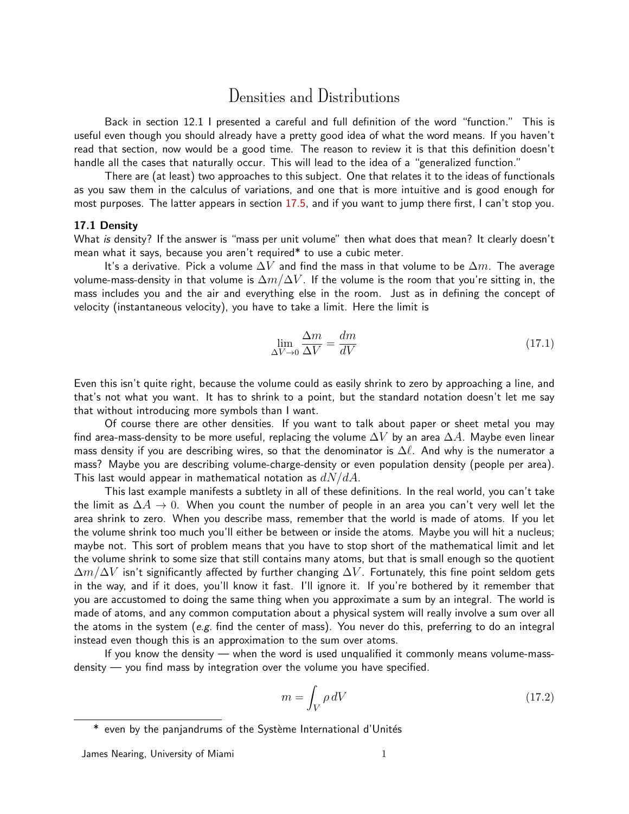# Densities and Distributions

Back in section 12.1 I presented a careful and full definition of the word "function." This is useful even though you should already have a pretty good idea of what the word means. If you haven't read that section, now would be a good time. The reason to review it is that this definition doesn't handle all the cases that naturally occur. This will lead to the idea of a "generalized function."

There are (at least) two approaches to this subject. One that relates it to the ideas of functionals as you saw them in the calculus of variations, and one that is more intuitive and is good enough for most purposes. The latter appears in section [17.5](#page-7-0), and if you want to jump there first, I can't stop you.

## 17.1 Density

<span id="page-0-2"></span>What is density? If the answer is "mass per unit volume" then what does that mean? It clearly doesn't mean what it says, because you aren't required\* to use a cubic meter.

It's a derivative. Pick a volume  $\Delta V$  and find the mass in that volume to be  $\Delta m$ . The average volume-mass-density in that volume is  $\Delta m/\Delta V$ . If the volume is the room that you're sitting in, the mass includes you and the air and everything else in the room. Just as in defining the concept of velocity (instantaneous velocity), you have to take a limit. Here the limit is

<span id="page-0-0"></span>
$$
\lim_{\Delta V \to 0} \frac{\Delta m}{\Delta V} = \frac{dm}{dV} \tag{17.1}
$$

Even this isn't quite right, because the volume could as easily shrink to zero by approaching a line, and that's not what you want. It has to shrink to a point, but the standard notation doesn't let me say that without introducing more symbols than I want.

Of course there are other densities. If you want to talk about paper or sheet metal you may find area-mass-density to be more useful, replacing the volume  $\Delta V$  by an area  $\Delta A$ . Maybe even linear mass density if you are describing wires, so that the denominator is  $\Delta\ell$ . And why is the numerator a mass? Maybe you are describing volume-charge-density or even population density (people per area). This last would appear in mathematical notation as  $dN/dA$ .

This last example manifests a subtlety in all of these definitions. In the real world, you can't take the limit as  $\Delta A \rightarrow 0$ . When you count the number of people in an area you can't very well let the area shrink to zero. When you describe mass, remember that the world is made of atoms. If you let the volume shrink too much you'll either be between or inside the atoms. Maybe you will hit a nucleus; maybe not. This sort of problem means that you have to stop short of the mathematical limit and let the volume shrink to some size that still contains many atoms, but that is small enough so the quotient  $\Delta m/\Delta V$  isn't significantly affected by further changing  $\Delta V$ . Fortunately, this fine point seldom gets in the way, and if it does, you'll know it fast. I'll ignore it. If you're bothered by it remember that you are accustomed to doing the same thing when you approximate a sum by an integral. The world is made of atoms, and any common computation about a physical system will really involve a sum over all the atoms in the system (e.g. find the center of mass). You never do this, preferring to do an integral instead even though this is an approximation to the sum over atoms.

If you know the density — when the word is used unqualified it commonly means volume-massdensity — you find mass by integration over the volume you have specified.

<span id="page-0-1"></span>
$$
m = \int_{V} \rho \, dV \tag{17.2}
$$

<sup>\*</sup> even by the panjandrums of the Système International d'Unités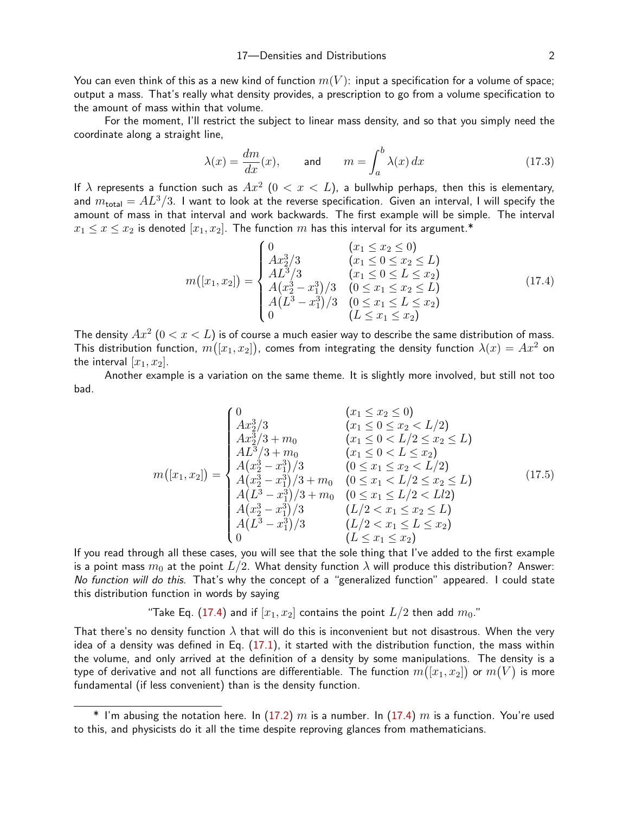You can even think of this as a new kind of function  $m(V)$ : input a specification for a volume of space; output a mass. That's really what density provides, a prescription to go from a volume specification to the amount of mass within that volume.

For the moment, I'll restrict the subject to linear mass density, and so that you simply need the coordinate along a straight line,

$$
\lambda(x) = \frac{dm}{dx}(x), \quad \text{and} \quad m = \int_{a}^{b} \lambda(x) dx \quad (17.3)
$$

If  $\lambda$  represents a function such as  $Ax^2$   $(0 < x < L)$ , a bullwhip perhaps, then this is elementary, and  $m_{\text{total}} = AL^3/3$ . I want to look at the reverse specification. Given an interval, I will specify the amount of mass in that interval and work backwards. The first example will be simple. The interval  $x_1 \leq x \leq x_2$  is denoted  $[x_1, x_2]$ . The function m has this interval for its argument.\*

<span id="page-1-0"></span>
$$
m([x_1, x_2]) = \begin{cases} 0 & (x_1 \le x_2 \le 0) \\ Ax_2^3/3 & (x_1 \le 0 \le x_2 \le L) \\ AL^3/3 & (x_1 \le 0 \le L \le x_2) \\ A(x_2^3 - x_1^3)/3 & (0 \le x_1 \le x_2 \le L) \\ A(L^3 - x_1^3)/3 & (0 \le x_1 \le L \le x_2) \\ 0 & (L \le x_1 \le x_2) \end{cases} \tag{17.4}
$$

The density  $Ax^2$   $(0 < x < L)$  is of course a much easier way to describe the same distribution of mass. This distribution function,  $m([x_1, x_2])$ , comes from integrating the density function  $\lambda(x) = Ax^2$  on the interval  $[x_1, x_2]$ .

Another example is a variation on the same theme. It is slightly more involved, but still not too bad.

<span id="page-1-1"></span>
$$
m([x_1, x_2]) = \begin{cases} 0 & (x_1 \le x_2 \le 0) \\ Ax_2^3/3 & (x_1 \le 0 \le x_2 < L/2) \\ Ax_2^3/3 + m_0 & (x_1 \le 0 < L/2 \le x_2 \le L) \\ AL^3/3 + m_0 & (x_1 \le 0 < L \le x_2) \\ A(x_2^3 - x_1^3)/3 & (0 \le x_1 \le x_2 < L/2) \\ A(x_2^3 - x_1^3)/3 + m_0 & (0 \le x_1 < L/2 \le x_2 \le L) \\ A(L^3 - x_1^3)/3 + m_0 & (0 \le x_1 \le L/2 < L/2) \\ A(x_2^3 - x_1^3)/3 & (L/2 < x_1 \le x_2 \le L) \\ A(L^3 - x_1^3)/3 & (L/2 < x_1 \le L \le x_2) \\ 0 & (L \le x_1 \le x_2) \end{cases} \tag{17.5}
$$

If you read through all these cases, you will see that the sole thing that I've added to the first example is a point mass  $m_0$  at the point  $L/2$ . What density function  $\lambda$  will produce this distribution? Answer: No function will do this. That's why the concept of a "generalized function" appeared. I could state this distribution function in words by saying

"Take Eq. ([17.4](#page-1-0)) and if  $[x_1, x_2]$  contains the point  $L/2$  then add  $m_0$ ."

That there's no density function  $\lambda$  that will do this is inconvenient but not disastrous. When the very idea of a density was defined in Eq. [\(17.1](#page-0-0)), it started with the distribution function, the mass within the volume, and only arrived at the definition of a density by some manipulations. The density is a type of derivative and not all functions are differentiable. The function  $m([x_1, x_2])$  or  $m(V)$  is more fundamental (if less convenient) than is the density function.

<sup>\*</sup> I'm abusing the notation here. In ([17.2](#page-0-1)) m is a number. In [\(17.4](#page-1-0)) m is a function. You're used to this, and physicists do it all the time despite reproving glances from mathematicians.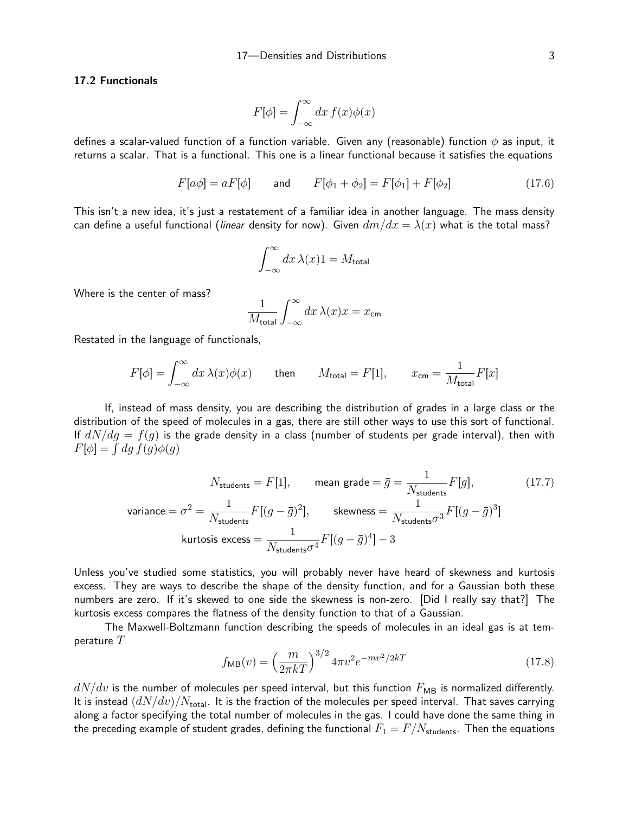# 17.2 Functionals

$$
F[\phi] = \int_{-\infty}^{\infty} dx f(x)\phi(x)
$$

defines a scalar-valued function of a function variable. Given any (reasonable) function  $\phi$  as input, it returns a scalar. That is a functional. This one is a linear functional because it satisfies the equations

$$
F[a\phi] = aF[\phi] \quad \text{and} \quad F[\phi_1 + \phi_2] = F[\phi_1] + F[\phi_2] \tag{17.6}
$$

This isn't a new idea, it's just a restatement of a familiar idea in another language. The mass density can define a useful functional (linear density for now). Given  $dm/dx = \lambda(x)$  what is the total mass?

<span id="page-2-1"></span>
$$
\int_{-\infty}^{\infty} dx \,\lambda(x) 1 = M_{\text{total}}
$$

Where is the center of mass?

<span id="page-2-0"></span>
$$
\frac{1}{M_{\text{total}}} \int_{-\infty}^{\infty} dx \,\lambda(x)x = x_{\text{cm}}
$$

Restated in the language of functionals,

$$
F[\phi] = \int_{-\infty}^{\infty} dx \,\lambda(x) \phi(x) \qquad \text{then} \qquad M_{\text{total}} = F[1], \qquad x_{\text{cm}} = \frac{1}{M_{\text{total}}} F[x]
$$

If, instead of mass density, you are describing the distribution of grades in a large class or the distribution of the speed of molecules in a gas, there are still other ways to use this sort of functional. If  $dN/dq = f(q)$  is the grade density in a class (number of students per grade interval), then with  $F[\phi] = \int dg f(g)\phi(g)$ 

$$
N_{\text{students}} = F[1], \qquad \text{mean grade} = \bar{g} = \frac{1}{N_{\text{students}}} F[g], \tag{17.7}
$$
\n
$$
\text{variance} = \sigma^2 = \frac{1}{N_{\text{students}}} F[(g - \bar{g})^2], \qquad \text{skewness} = \frac{1}{N_{\text{students}}} F[(g - \bar{g})^3]
$$
\n
$$
\text{kurtosis excess} = \frac{1}{N_{\text{students}}} \sigma^4 F[(g - \bar{g})^4] - 3
$$

Unless you've studied some statistics, you will probably never have heard of skewness and kurtosis excess. They are ways to describe the shape of the density function, and for a Gaussian both these numbers are zero. If it's skewed to one side the skewness is non-zero. [Did I really say that?] The kurtosis excess compares the flatness of the density function to that of a Gaussian.

The Maxwell-Boltzmann function describing the speeds of molecules in an ideal gas is at temperature  $T$ 

<span id="page-2-2"></span>
$$
f_{\text{MB}}(v) = \left(\frac{m}{2\pi kT}\right)^{3/2} 4\pi v^2 e^{-mv^2/2kT}
$$
 (17.8)

 $dN/dv$  is the number of molecules per speed interval, but this function  $F_{\text{MB}}$  is normalized differently. It is instead  $(dN/dv)/N_{\text{total}}$ . It is the fraction of the molecules per speed interval. That saves carrying along a factor specifying the total number of molecules in the gas. I could have done the same thing in the preceding example of student grades, defining the functional  $F_1 = F/N_{\text{students}}$ . Then the equations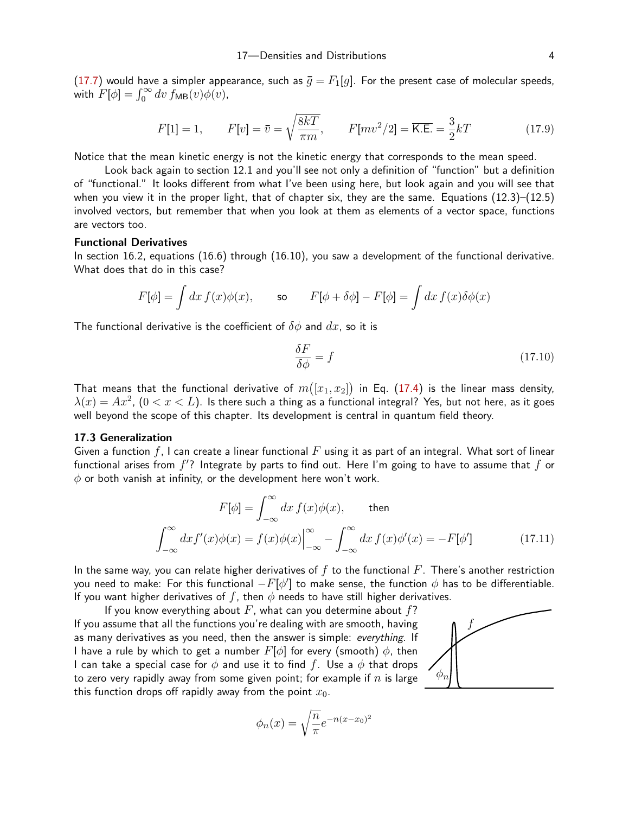[\(17.7](#page-2-0)) would have a simpler appearance, such as  $\bar{g} = F_1[g]$ . For the present case of molecular speeds, with  $F[\phi] = \int_0^\infty dv f_{MB}(v) \phi(v)$ ,

$$
F[1] = 1, \qquad F[v] = \bar{v} = \sqrt{\frac{8kT}{\pi m}}, \qquad F[mv^2/2] = \overline{\text{K.E.}} = \frac{3}{2}kT \tag{17.9}
$$

Notice that the mean kinetic energy is not the kinetic energy that corresponds to the mean speed.

Look back again to section 12.1 and you'll see not only a definition of "function" but a definition of "functional." It looks different from what I've been using here, but look again and you will see that when you view it in the proper light, that of chapter six, they are the same. Equations  $(12.3)$ – $(12.5)$ involved vectors, but remember that when you look at them as elements of a vector space, functions are vectors too.

# Functional Derivatives

In section 16.2, equations (16.6) through (16.10), you saw a development of the functional derivative. What does that do in this case?

$$
F[\phi] = \int dx f(x)\phi(x), \qquad \text{so} \qquad F[\phi + \delta\phi] - F[\phi] = \int dx f(x)\delta\phi(x)
$$

The functional derivative is the coefficient of  $\delta\phi$  and  $dx$ , so it is

<span id="page-3-2"></span><span id="page-3-0"></span>
$$
\frac{\delta F}{\delta \phi} = f \tag{17.10}
$$

<span id="page-3-1"></span>f

 $\phi_n$ 

That means that the functional derivative of  $m\big([x_1, x_2]\big)$  in Eq.  $(17.4)$  $(17.4)$  is the linear mass density,  $\lambda(x)=Ax^2$ ,  $(0 < x < L)$ . Is there such a thing as a functional integral? Yes, but not here, as it goes well beyond the scope of this chapter. Its development is central in quantum field theory.

## 17.3 Generalization

Given a function  $f$ , I can create a linear functional F using it as part of an integral. What sort of linear functional arises from  $f'$ ? Integrate by parts to find out. Here I'm going to have to assume that  $f$  or  $\phi$  or both vanish at infinity, or the development here won't work.

$$
F[\phi] = \int_{-\infty}^{\infty} dx f(x)\phi(x), \qquad \text{then}
$$

$$
\int_{-\infty}^{\infty} dx f'(x)\phi(x) = f(x)\phi(x)\Big|_{-\infty}^{\infty} - \int_{-\infty}^{\infty} dx f(x)\phi'(x) = -F[\phi'] \tag{17.11}
$$

In the same way, you can relate higher derivatives of  $f$  to the functional  $F$ . There's another restriction you need to make: For this functional  $-F[\phi']$  to make sense, the function  $\phi$  has to be differentiable. If you want higher derivatives of f, then  $\phi$  needs to have still higher derivatives.

If you know everything about  $F$ , what can you determine about  $f$ ? If you assume that all the functions you're dealing with are smooth, having as many derivatives as you need, then the answer is simple: everything. If I have a rule by which to get a number  $F[\phi]$  for every (smooth)  $\phi$ , then I can take a special case for  $\phi$  and use it to find f. Use a  $\phi$  that drops to zero very rapidly away from some given point; for example if  $n$  is large this function drops off rapidly away from the point  $x_0$ .

$$
\phi_n(x) = \sqrt{\frac{n}{\pi}} e^{-n(x - x_0)^2}
$$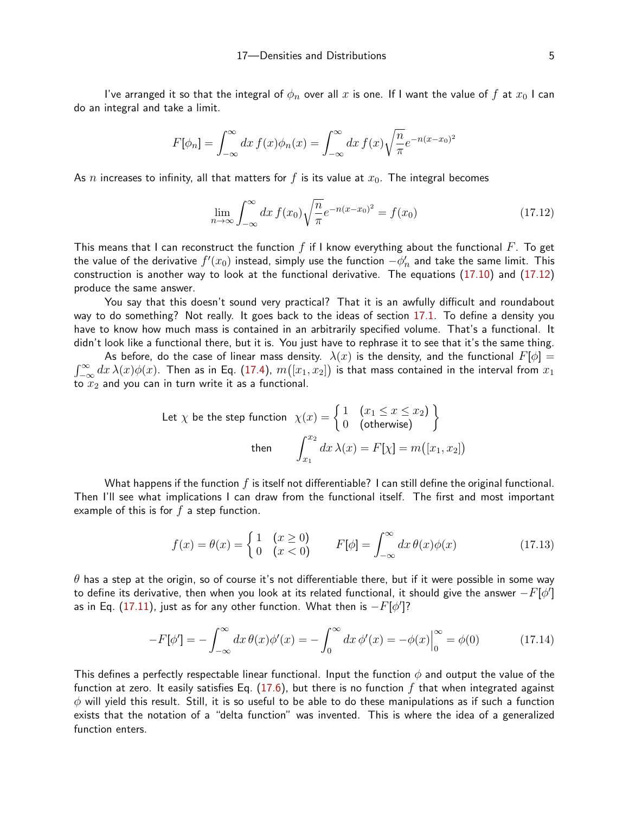I've arranged it so that the integral of  $\phi_n$  over all  $x$  is one. If I want the value of  $f$  at  $x_0$  I can do an integral and take a limit.

$$
F[\phi_n] = \int_{-\infty}^{\infty} dx f(x)\phi_n(x) = \int_{-\infty}^{\infty} dx f(x)\sqrt{\frac{n}{\pi}}e^{-n(x-x_0)^2}
$$

As *n* increases to infinity, all that matters for  $f$  is its value at  $x_0$ . The integral becomes

<span id="page-4-0"></span>
$$
\lim_{n \to \infty} \int_{-\infty}^{\infty} dx \, f(x_0) \sqrt{\frac{n}{\pi}} e^{-n(x - x_0)^2} = f(x_0)
$$
\n(17.12)

This means that I can reconstruct the function f if I know everything about the functional  $F$ . To get the value of the derivative  $f'(x_0)$  instead, simply use the function  $-\phi_n'$  and take the same limit. This construction is another way to look at the functional derivative. The equations ([17.1](#page-3-0)0) and ([17.1](#page-4-0)2) produce the same answer.

You say that this doesn't sound very practical? That it is an awfully difficult and roundabout way to do something? Not really. It goes back to the ideas of section [17.1](#page-0-2). To define a density you have to know how much mass is contained in an arbitrarily specified volume. That's a functional. It didn't look like a functional there, but it is. You just have to rephrase it to see that it's the same thing.

As before, do the case of linear mass density.  $\lambda(x)$  is the density, and the functional  $F[\phi] =$  $\int_{-\infty}^{\infty}dx\,\lambda(x)\phi(x).$  Then as in Eq. [\(17.4](#page-1-0)),  $m\big([x_1,x_2]\big)$  is that mass contained in the interval from  $x_1$ to  $x_2$  and you can in turn write it as a functional.

Let 
$$
\chi
$$
 be the step function  $\chi(x) = \begin{cases} 1 & (x_1 \le x \le x_2) \\ 0 & (\text{otherwise}) \end{cases}$   
then 
$$
\int_{x_1}^{x_2} dx \,\lambda(x) = F[\chi] = m([x_1, x_2])
$$

What happens if the function  $f$  is itself not differentiable? I can still define the original functional. Then I'll see what implications I can draw from the functional itself. The first and most important example of this is for  $f$  a step function.

<span id="page-4-2"></span><span id="page-4-1"></span>
$$
f(x) = \theta(x) = \begin{cases} 1 & (x \ge 0) \\ 0 & (x < 0) \end{cases} \qquad F[\phi] = \int_{-\infty}^{\infty} dx \,\theta(x)\phi(x) \tag{17.13}
$$

 $\theta$  has a step at the origin, so of course it's not differentiable there, but if it were possible in some way to define its derivative, then when you look at its related functional, it should give the answer  $-F[\phi']$ as in Eq. [\(17.1](#page-3-1)1), just as for any other function. What then is  $-F[\phi']$ ?

$$
-F[\phi'] = -\int_{-\infty}^{\infty} dx \,\theta(x)\phi'(x) = -\int_{0}^{\infty} dx \,\phi'(x) = -\phi(x)\Big|_{0}^{\infty} = \phi(0) \tag{17.14}
$$

This defines a perfectly respectable linear functional. Input the function  $\phi$  and output the value of the function at zero. It easily satisfies Eq.  $(17.6)$  $(17.6)$  $(17.6)$ , but there is no function f that when integrated against  $\phi$  will yield this result. Still, it is so useful to be able to do these manipulations as if such a function exists that the notation of a "delta function" was invented. This is where the idea of a generalized function enters.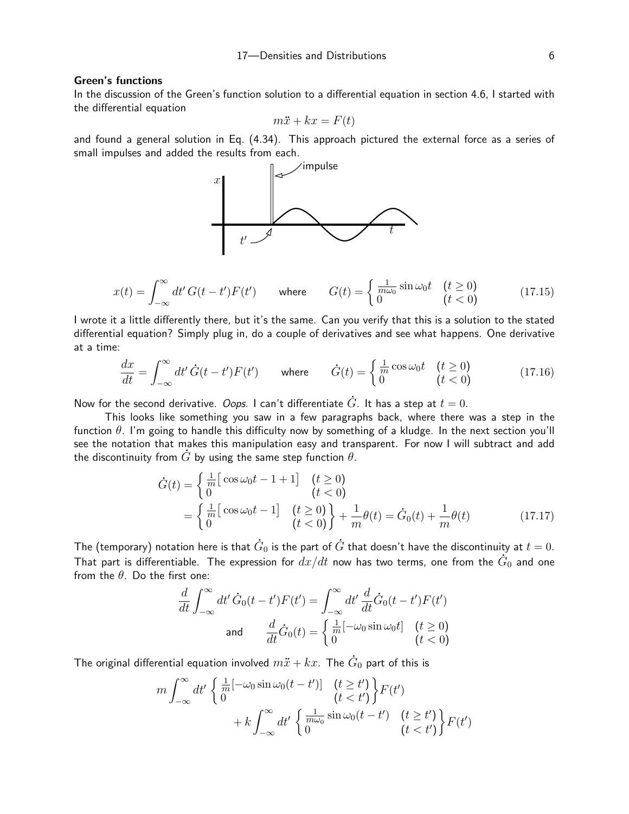## Green's functions

In the discussion of the Green's function solution to a differential equation in section 4.6, I started with the differential equation

<span id="page-5-1"></span><span id="page-5-0"></span>
$$
m\ddot{x} + kx = F(t)
$$

and found a general solution in Eq. (4.34). This approach pictured the external force as a series of small impulses and added the results from each.



$$
x(t) = \int_{-\infty}^{\infty} dt' G(t - t') F(t') \qquad \text{where} \qquad G(t) = \begin{cases} \frac{1}{m\omega_0} \sin \omega_0 t & (t \ge 0) \\ 0 & (t < 0) \end{cases} \tag{17.15}
$$

I wrote it a little differently there, but it's the same. Can you verify that this is a solution to the stated differential equation? Simply plug in, do a couple of derivatives and see what happens. One derivative at a time:

$$
\frac{dx}{dt} = \int_{-\infty}^{\infty} dt' \dot{G}(t - t') F(t') \quad \text{where} \quad \dot{G}(t) = \begin{cases} \frac{1}{m} \cos \omega_0 t & (t \ge 0) \\ 0 & (t < 0) \end{cases} \tag{17.16}
$$

Now for the second derivative. *Oops*. I can't differentiate  $\dot{G}$ . It has a step at  $t=0.$ 

This looks like something you saw in a few paragraphs back, where there was a step in the function  $\theta$ . I'm going to handle this difficulty now by something of a kludge. In the next section you'll see the notation that makes this manipulation easy and transparent. For now I will subtract and add the discontinuity from  $\tilde{G}$  by using the same step function  $\theta$ .

$$
\dot{G}(t) = \begin{cases}\n\frac{1}{m} \left[\cos \omega_0 t - 1 + 1\right] & (t \ge 0) \\
0 & (t < 0)\n\end{cases}\n= \begin{cases}\n\frac{1}{m} \left[\cos \omega_0 t - 1\right] & (t \ge 0) \\
0 & (t < 0)\n\end{cases} + \frac{1}{m} \theta(t) = \dot{G}_0(t) + \frac{1}{m} \theta(t)\n\tag{17.17}
$$

The (temporary) notation here is that  $\dot{G}_0$  is the part of  $\dot{G}$  that doesn't have the discontinuity at  $t=0.$ That part is differentiable. The expression for  $dx/dt$  now has two terms, one from the  $\dot{G}_0$  and one from the  $\theta$ . Do the first one:

$$
\frac{d}{dt} \int_{-\infty}^{\infty} dt' \dot{G}_0(t-t')F(t') = \int_{-\infty}^{\infty} dt' \frac{d}{dt} \dot{G}_0(t-t')F(t')
$$
\nand\n
$$
\frac{d}{dt} \dot{G}_0(t) = \begin{cases} \frac{1}{m}[-\omega_0 \sin \omega_0 t] & (t \ge 0) \\ 0 & (t < 0) \end{cases}
$$

The original differential equation involved  $m\ddot{x}+kx$ . The  $\dot{G}_0$  part of this is

$$
m \int_{-\infty}^{\infty} dt' \left\{ \frac{1}{0} \left[ -\omega_0 \sin \omega_0 (t - t') \right] \begin{array}{l} (t \ge t') \\ (t < t') \end{array} \right\} F(t')
$$
  
+  $k \int_{-\infty}^{\infty} dt' \left\{ \frac{1}{0} \frac{1}{\omega_0} \sin \omega_0 (t - t') \begin{array}{l} (t \ge t') \\ (t < t') \end{array} \right\} F(t')$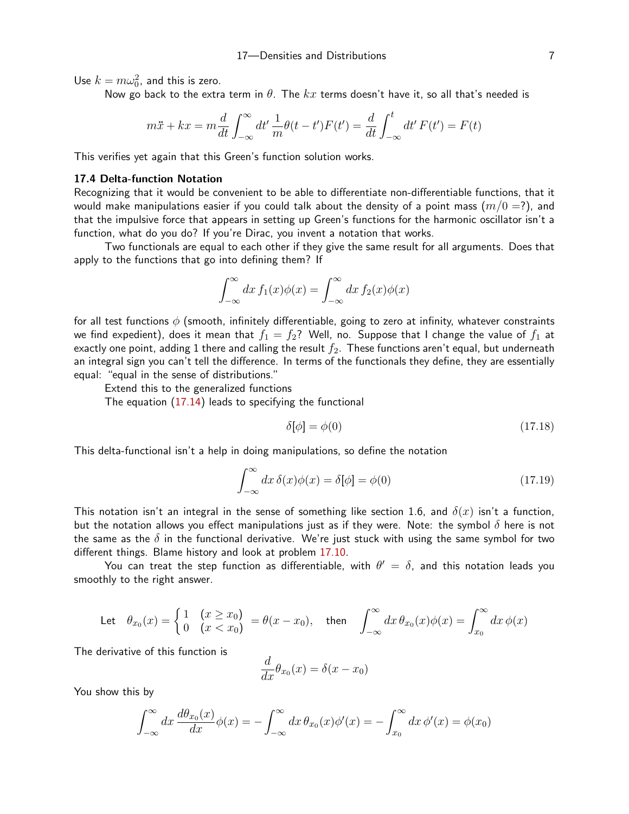Use  $k = m\omega_0^2$ , and this is zero.

Now go back to the extra term in  $\theta$ . The kx terms doesn't have it, so all that's needed is

$$
m\ddot{x} + kx = m\frac{d}{dt}\int_{-\infty}^{\infty} dt' \frac{1}{m}\theta(t - t')F(t') = \frac{d}{dt}\int_{-\infty}^{t} dt' F(t') = F(t)
$$

This verifies yet again that this Green's function solution works.

#### 17.4 Delta-function Notation

Recognizing that it would be convenient to be able to differentiate non-differentiable functions, that it would make manipulations easier if you could talk about the density of a point mass  $(m/0 = ?)$ , and that the impulsive force that appears in setting up Green's functions for the harmonic oscillator isn't a function, what do you do? If you're Dirac, you invent a notation that works.

Two functionals are equal to each other if they give the same result for all arguments. Does that apply to the functions that go into defining them? If

$$
\int_{-\infty}^{\infty} dx f_1(x)\phi(x) = \int_{-\infty}^{\infty} dx f_2(x)\phi(x)
$$

for all test functions  $\phi$  (smooth, infinitely differentiable, going to zero at infinity, whatever constraints we find expedient), does it mean that  $f_1 = f_2$ ? Well, no. Suppose that I change the value of  $f_1$  at exactly one point, adding 1 there and calling the result  $f_2$ . These functions aren't equal, but underneath an integral sign you can't tell the difference. In terms of the functionals they define, they are essentially equal: "equal in the sense of distributions."

Extend this to the generalized functions

The equation ([17.1](#page-4-1)4) leads to specifying the functional

<span id="page-6-0"></span>
$$
\delta[\phi] = \phi(0) \tag{17.18}
$$

This delta-functional isn't a help in doing manipulations, so define the notation

$$
\int_{-\infty}^{\infty} dx \,\delta(x)\phi(x) = \delta[\phi] = \phi(0)
$$
\n(17.19)

This notation isn't an integral in the sense of something like section 1.6, and  $\delta(x)$  isn't a function, but the notation allows you effect manipulations just as if they were. Note: the symbol  $\delta$  here is not the same as the  $\delta$  in the functional derivative. We're just stuck with using the same symbol for two different things. Blame history and look at problem [17.1](#page-17-0)0.

You can treat the step function as differentiable, with  $\theta' = \delta$ , and this notation leads you smoothly to the right answer.

Let 
$$
\theta_{x_0}(x) = \begin{cases} 1 & (x \ge x_0) \\ 0 & (x < x_0) \end{cases} = \theta(x - x_0)
$$
, then  $\int_{-\infty}^{\infty} dx \, \theta_{x_0}(x) \phi(x) = \int_{x_0}^{\infty} dx \, \phi(x)$ 

The derivative of this function is

$$
\frac{d}{dx}\theta_{x_0}(x) = \delta(x - x_0)
$$

You show this by

$$
\int_{-\infty}^{\infty} dx \frac{d\theta_{x_0}(x)}{dx} \phi(x) = -\int_{-\infty}^{\infty} dx \, \theta_{x_0}(x) \phi'(x) = -\int_{x_0}^{\infty} dx \, \phi'(x) = \phi(x_0)
$$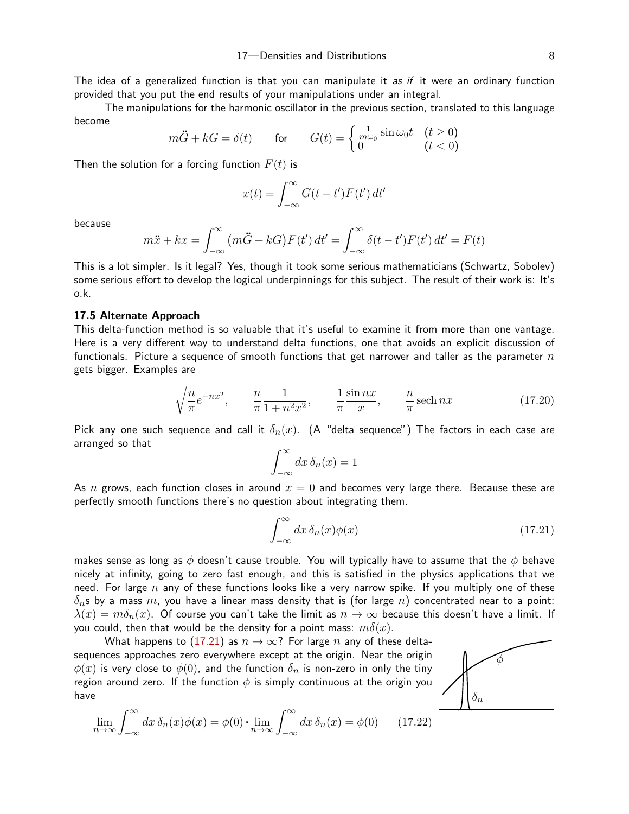The idea of a generalized function is that you can manipulate it as if it were an ordinary function provided that you put the end results of your manipulations under an integral.

The manipulations for the harmonic oscillator in the previous section, translated to this language become

$$
m\ddot{G} + kG = \delta(t) \qquad \text{for} \qquad G(t) = \begin{cases} \frac{1}{m\omega_0} \sin \omega_0 t & (t \ge 0) \\ 0 & (t < 0) \end{cases}
$$

Then the solution for a forcing function  $F(t)$  is

$$
x(t) = \int_{-\infty}^{\infty} G(t - t') F(t') dt'
$$

because

$$
m\ddot{x} + kx = \int_{-\infty}^{\infty} (m\ddot{G} + kG)F(t') dt' = \int_{-\infty}^{\infty} \delta(t - t')F(t') dt' = F(t)
$$

This is a lot simpler. Is it legal? Yes, though it took some serious mathematicians (Schwartz, Sobolev) some serious effort to develop the logical underpinnings for this subject. The result of their work is: It's o.k.

# 17.5 Alternate Approach

<span id="page-7-0"></span>This delta-function method is so valuable that it's useful to examine it from more than one vantage. Here is a very different way to understand delta functions, one that avoids an explicit discussion of functionals. Picture a sequence of smooth functions that get narrower and taller as the parameter  $n$ gets bigger. Examples are

$$
\sqrt{\frac{n}{\pi}}e^{-nx^2}, \qquad \frac{n}{\pi}\frac{1}{1+n^2x^2}, \qquad \frac{1}{\pi}\frac{\sin nx}{x}, \qquad \frac{n}{\pi}\operatorname{sech} nx \tag{17.20}
$$

Pick any one such sequence and call it  $\delta_n(x)$ . (A "delta sequence") The factors in each case are arranged so that

<span id="page-7-2"></span>
$$
\int_{-\infty}^{\infty} dx \, \delta_n(x) = 1
$$

As n grows, each function closes in around  $x = 0$  and becomes very large there. Because these are perfectly smooth functions there's no question about integrating them.

<span id="page-7-1"></span>
$$
\int_{-\infty}^{\infty} dx \, \delta_n(x) \phi(x) \tag{17.21}
$$

makes sense as long as  $\phi$  doesn't cause trouble. You will typically have to assume that the  $\phi$  behave nicely at infinity, going to zero fast enough, and this is satisfied in the physics applications that we need. For large  $n$  any of these functions looks like a very narrow spike. If you multiply one of these  $\delta_n$ s by a mass  $m$ , you have a linear mass density that is (for large n) concentrated near to a point:  $\lambda(x) = m\delta_n(x)$ . Of course you can't take the limit as  $n \to \infty$  because this doesn't have a limit. If you could, then that would be the density for a point mass:  $m\delta(x)$ .

What happens to [\(17.2](#page-7-1)1) as  $n \to \infty$ ? For large n any of these deltasequences approaches zero everywhere except at the origin. Near the origin  $\phi(x)$  is very close to  $\phi(0)$ , and the function  $\delta_n$  is non-zero in only the tiny region around zero. If the function  $\phi$  is simply continuous at the origin you have

$$
\lim_{n \to \infty} \int_{-\infty}^{\infty} dx \, \delta_n(x) \phi(x) = \phi(0) \cdot \lim_{n \to \infty} \int_{-\infty}^{\infty} dx \, \delta_n(x) = \phi(0) \qquad (17.22)
$$

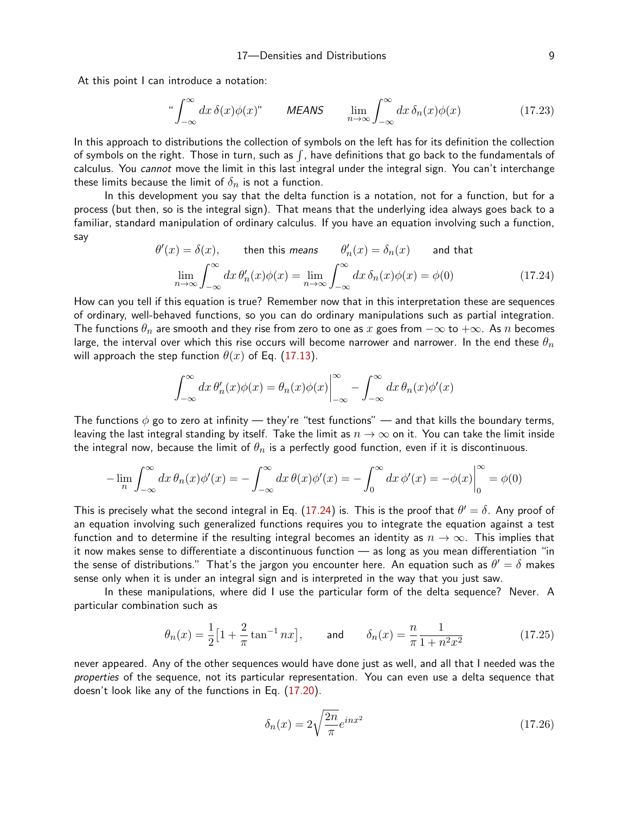At this point I can introduce a notation:

<span id="page-8-3"></span>
$$
\int_{-\infty}^{\infty} dx \, \delta(x) \phi(x) \text{''} \qquad \text{MEANS} \qquad \lim_{n \to \infty} \int_{-\infty}^{\infty} dx \, \delta_n(x) \phi(x) \tag{17.23}
$$

In this approach to distributions the collection of symbols on the left has for its definition the collection of symbols on the right. Those in turn, such as  $\int$ , have definitions that go back to the fundamentals of calculus. You cannot move the limit in this last integral under the integral sign. You can't interchange these limits because the limit of  $\delta_n$  is not a function.

In this development you say that the delta function is a notation, not for a function, but for a process (but then, so is the integral sign). That means that the underlying idea always goes back to a familiar, standard manipulation of ordinary calculus. If you have an equation involving such a function, say

$$
\theta'(x) = \delta(x), \qquad \text{then this means} \qquad \theta'_n(x) = \delta_n(x) \qquad \text{and that}
$$
\n
$$
\lim_{n \to \infty} \int_{-\infty}^{\infty} dx \, \theta'_n(x) \phi(x) = \lim_{n \to \infty} \int_{-\infty}^{\infty} dx \, \delta_n(x) \phi(x) = \phi(0) \tag{17.24}
$$

How can you tell if this equation is true? Remember now that in this interpretation these are sequences of ordinary, well-behaved functions, so you can do ordinary manipulations such as partial integration. The functions  $\theta_n$  are smooth and they rise from zero to one as x goes from  $-\infty$  to  $+\infty$ . As n becomes large, the interval over which this rise occurs will become narrower and narrower. In the end these  $\theta_n$ will approach the step function  $\theta(x)$  of Eq. ([17.1](#page-4-2)3).

<span id="page-8-0"></span>
$$
\int_{-\infty}^{\infty} dx \,\theta'_n(x)\phi(x) = \theta_n(x)\phi(x)\Big|_{-\infty}^{\infty} - \int_{-\infty}^{\infty} dx \,\theta_n(x)\phi'(x)
$$

The functions  $\phi$  go to zero at infinity — they're "test functions" — and that kills the boundary terms, leaving the last integral standing by itself. Take the limit as  $n \to \infty$  on it. You can take the limit inside the integral now, because the limit of  $\theta_n$  is a perfectly good function, even if it is discontinuous.

$$
-\lim_{n}\int_{-\infty}^{\infty} dx \,\theta_n(x)\phi'(x) = -\int_{-\infty}^{\infty} dx \,\theta(x)\phi'(x) = -\int_{0}^{\infty} dx \,\phi'(x) = -\phi(x)\Big|_{0}^{\infty} = \phi(0)
$$

This is precisely what the second integral in Eq. ([17.2](#page-8-0)4) is. This is the proof that  $\theta'=\delta.$  Any proof of an equation involving such generalized functions requires you to integrate the equation against a test function and to determine if the resulting integral becomes an identity as  $n \to \infty$ . This implies that it now makes sense to differentiate a discontinuous function — as long as you mean differentiation "in the sense of distributions." That's the jargon you encounter here. An equation such as  $\theta'=\delta$  makes sense only when it is under an integral sign and is interpreted in the way that you just saw.

In these manipulations, where did I use the particular form of the delta sequence? Never. A particular combination such as

$$
\theta_n(x) = \frac{1}{2} \left[ 1 + \frac{2}{\pi} \tan^{-1} nx \right], \quad \text{and} \quad \delta_n(x) = \frac{n}{\pi} \frac{1}{1 + n^2 x^2} \tag{17.25}
$$

never appeared. Any of the other sequences would have done just as well, and all that I needed was the properties of the sequence, not its particular representation. You can even use a delta sequence that doesn't look like any of the functions in Eq. ([17.2](#page-7-2)0).

<span id="page-8-2"></span><span id="page-8-1"></span>
$$
\delta_n(x) = 2\sqrt{\frac{2n}{\pi}}e^{inx^2}
$$
\n(17.26)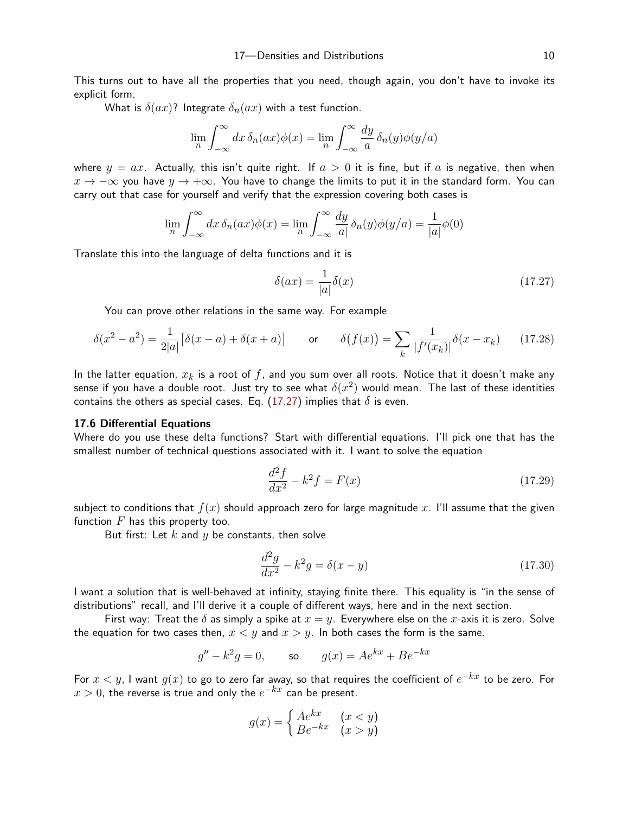This turns out to have all the properties that you need, though again, you don't have to invoke its explicit form.

What is  $\delta(ax)$ ? Integrate  $\delta_n(ax)$  with a test function.

$$
\lim_{n} \int_{-\infty}^{\infty} dx \, \delta_n(ax) \phi(x) = \lim_{n} \int_{-\infty}^{\infty} \frac{dy}{a} \, \delta_n(y) \phi(y/a)
$$

where  $y = ax$ . Actually, this isn't quite right. If  $a > 0$  it is fine, but if a is negative, then when  $x \to -\infty$  you have  $y \to +\infty$ . You have to change the limits to put it in the standard form. You can carry out that case for yourself and verify that the expression covering both cases is

$$
\lim_{n} \int_{-\infty}^{\infty} dx \, \delta_n(ax)\phi(x) = \lim_{n} \int_{-\infty}^{\infty} \frac{dy}{|a|} \, \delta_n(y)\phi(y/a) = \frac{1}{|a|}\phi(0)
$$

Translate this into the language of delta functions and it is

<span id="page-9-3"></span><span id="page-9-0"></span>
$$
\delta(ax) = \frac{1}{|a|}\delta(x) \tag{17.27}
$$

You can prove other relations in the same way. For example

$$
\delta(x^2 - a^2) = \frac{1}{2|a|} [\delta(x - a) + \delta(x + a)] \qquad \text{or} \qquad \delta(f(x)) = \sum_{k} \frac{1}{|f'(x_k)|} \delta(x - x_k) \qquad (17.28)
$$

In the latter equation,  $x_k$  is a root of  $f$ , and you sum over all roots. Notice that it doesn't make any sense if you have a double root. Just try to see what  $\delta(x^2)$  would mean. The last of these identities contains the others as special cases. Eq. ([17.2](#page-9-0)7) implies that  $\delta$  is even.

# 17.6 Differential Equations

Where do you use these delta functions? Start with differential equations. I'll pick one that has the smallest number of technical questions associated with it. I want to solve the equation

<span id="page-9-2"></span>
$$
\frac{d^2f}{dx^2} - k^2f = F(x)
$$
\n(17.29)

subject to conditions that  $f(x)$  should approach zero for large magnitude x. I'll assume that the given function  $F$  has this property too.

But first: Let  $k$  and  $y$  be constants, then solve

<span id="page-9-1"></span>
$$
\frac{d^2g}{dx^2} - k^2g = \delta(x - y)
$$
\n(17.30)

I want a solution that is well-behaved at infinity, staying finite there. This equality is "in the sense of distributions" recall, and I'll derive it a couple of different ways, here and in the next section.

First way: Treat the  $\delta$  as simply a spike at  $x = y$ . Everywhere else on the x-axis it is zero. Solve the equation for two cases then,  $x < y$  and  $x > y$ . In both cases the form is the same.

$$
g'' - k^2 g = 0, \qquad \text{so} \qquad g(x) = A e^{kx} + B e^{-kx}
$$

For  $x < y$ , I want  $g(x)$  to go to zero far away, so that requires the coefficient of  $e^{-kx}$  to be zero. For  $x > 0$ , the reverse is true and only the  $e^{-kx}$  can be present.

$$
g(x) = \begin{cases} Ae^{kx} & (x < y) \\ Be^{-kx} & (x > y) \end{cases}
$$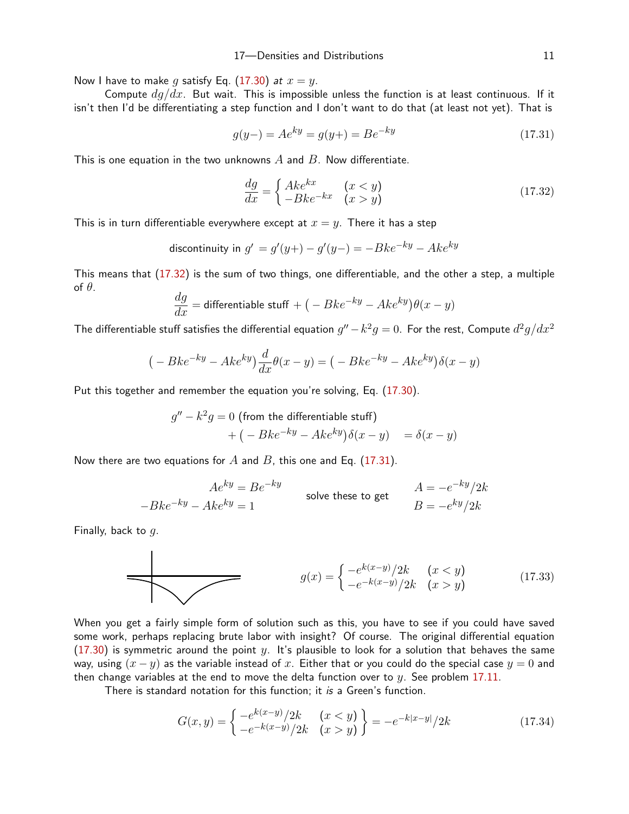Now I have to make q satisfy Eq. [\(17.3](#page-9-1)0) at  $x = y$ .

Compute  $dq/dx$ . But wait. This is impossible unless the function is at least continuous. If it isn't then I'd be differentiating a step function and I don't want to do that (at least not yet). That is

$$
g(y-) = Ae^{ky} = g(y+) = Be^{-ky}
$$
\n(17.31)

This is one equation in the two unknowns  $A$  and  $B$ . Now differentiate.

<span id="page-10-1"></span><span id="page-10-0"></span>
$$
\frac{dg}{dx} = \begin{cases} Ake^{kx} & (x < y) \\ -Bke^{-kx} & (x > y) \end{cases}
$$
\n(17.32)

This is in turn differentiable everywhere except at  $x = y$ . There it has a step

discontinuity in 
$$
g' = g'(y+) - g'(y-) = -Bke^{-ky} - Ake^{ky}
$$

This means that [\(17.3](#page-10-0)2) is the sum of two things, one differentiable, and the other a step, a multiple of  $\theta$ .

$$
\frac{dg}{dx} = \text{differentiable stuff} + \big(-Bke^{-ky} - Ake^{ky}\big)\theta(x - y)
$$

The differentiable stuff satisfies the differential equation  $g''-k^2g=0.$  For the rest, Compute  $d^2g/dx^2$ 

$$
(-Bke^{-ky} - Ake^{ky})\frac{d}{dx}\theta(x-y) = (-Bke^{-ky} - Ake^{ky})\delta(x-y)
$$

Put this together and remember the equation you're solving, Eq. ([17.3](#page-9-1)0).

$$
g'' - k^2 g = 0
$$
 (from the differentiable stuff)  
+ 
$$
(-Bke^{-ky} - Ake^{ky})\delta(x - y) = \delta(x - y)
$$

Now there are two equations for A and B, this one and Eq. ([17.3](#page-10-1)1).

$$
Ae^{ky} = Be^{-ky}
$$
  
\n
$$
-Bke^{-ky} - Ake^{ky} = 1
$$
  
\nSolve these to get  
\n
$$
A = -e^{-ky}/2k
$$
  
\n
$$
B = -e^{ky}/2k
$$

Finally, back to  $q$ .

$$
g(x) = \begin{cases} -e^{k(x-y)}/2k & (x < y) \\ -e^{-k(x-y)}/2k & (x > y) \end{cases}
$$
(17.33)

When you get a fairly simple form of solution such as this, you have to see if you could have saved some work, perhaps replacing brute labor with insight? Of course. The original differential equation [\(17.3](#page-9-1)0) is symmetric around the point  $y$ . It's plausible to look for a solution that behaves the same way, using  $(x - y)$  as the variable instead of x. Either that or you could do the special case  $y = 0$  and then change variables at the end to move the delta function over to  $y$ . See problem [17.1](#page-17-1)1.

There is standard notation for this function; it is a Green's function.

<span id="page-10-2"></span>
$$
G(x,y) = \begin{cases} \frac{-e^{k(x-y)}/2k}{-e^{-k(x-y)}/2k} & (x < y) \\ \frac{-e^{-k(x-y)}/2k}{(x > y)} \end{cases} = -e^{-k|x-y|}/2k
$$
\n(17.34)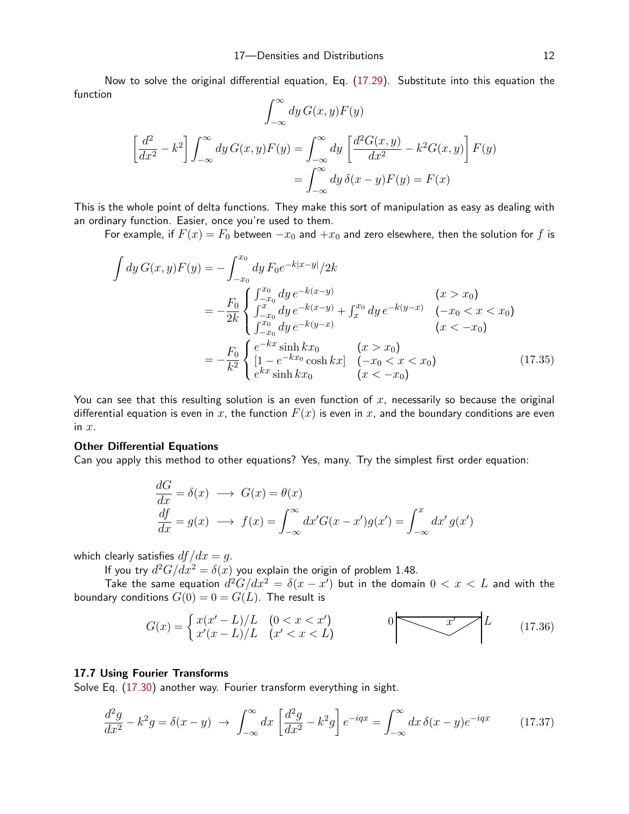Now to solve the original differential equation, Eq. ([17.2](#page-9-2)9). Substitute into this equation the function

$$
\int_{-\infty}^{\infty} dy \, G(x, y) F(y)
$$

$$
\left[ \frac{d^2}{dx^2} - k^2 \right] \int_{-\infty}^{\infty} dy \, G(x, y) F(y) = \int_{-\infty}^{\infty} dy \, \left[ \frac{d^2 G(x, y)}{dx^2} - k^2 G(x, y) \right] F(y)
$$

$$
= \int_{-\infty}^{\infty} dy \, \delta(x - y) F(y) = F(x)
$$

This is the whole point of delta functions. They make this sort of manipulation as easy as dealing with an ordinary function. Easier, once you're used to them.

For example, if  $F(x) = F_0$  between  $-x_0$  and  $+x_0$  and zero elsewhere, then the solution for f is

$$
\int dy \, G(x, y) F(y) = -\int_{-x_0}^{x_0} dy \, F_0 e^{-k|x-y|}/2k
$$
\n
$$
= -\frac{F_0}{2k} \begin{cases} \int_{-x_0}^{x_0} dy \, e^{-k(x-y)} & (x > x_0) \\ \int_{-x_0}^{x} dy \, e^{-k(x-y)} + \int_{x}^{x_0} dy \, e^{-k(y-x)} & (-x_0 < x < x_0) \\ \int_{-x_0}^{x_0} dy \, e^{-k(y-x)} & (x < -x_0) \end{cases}
$$
\n
$$
= -\frac{F_0}{k^2} \begin{cases} e^{-kx} \sinh kx_0 & (x > x_0) \\ [1 - e^{-kx_0} \cosh kx] & (-x_0 < x < x_0) \\ e^{kx} \sinh kx_0 & (x < -x_0) \end{cases} \tag{17.35}
$$

You can see that this resulting solution is an even function of  $x$ , necessarily so because the original differential equation is even in x, the function  $F(x)$  is even in x, and the boundary conditions are even in  $x$ .

# Other Differential Equations

Can you apply this method to other equations? Yes, many. Try the simplest first order equation:

<span id="page-11-0"></span>
$$
\frac{dG}{dx} = \delta(x) \longrightarrow G(x) = \theta(x)
$$
  

$$
\frac{df}{dx} = g(x) \longrightarrow f(x) = \int_{-\infty}^{\infty} dx' G(x - x')g(x') = \int_{-\infty}^{x} dx' g(x')
$$

which clearly satisfies  $df/dx = q$ .

If you try  $d^2G/dx^2 = \delta(x)$  you explain the origin of problem 1.48.

Take the same equation  $d^2G/dx^2 = \delta(x-x')$  but in the domain  $0 < x < L$  and with the boundary conditions  $G(0) = 0 = G(L)$ . The result is

<span id="page-11-2"></span>
$$
G(x) = \begin{cases} x(x'-L)/L & (0 < x < x') \\ x'(x-L)/L & (x' < x < L) \end{cases}
$$
 0\n
$$
x'/L \t(17.36)
$$

# 17.7 Using Fourier Transforms

<span id="page-11-1"></span>Solve Eq. ([17.3](#page-9-1)0) another way. Fourier transform everything in sight.

$$
\frac{d^2g}{dx^2} - k^2g = \delta(x - y) \rightarrow \int_{-\infty}^{\infty} dx \left[ \frac{d^2g}{dx^2} - k^2g \right] e^{-iqx} = \int_{-\infty}^{\infty} dx \, \delta(x - y) e^{-iqx} \tag{17.37}
$$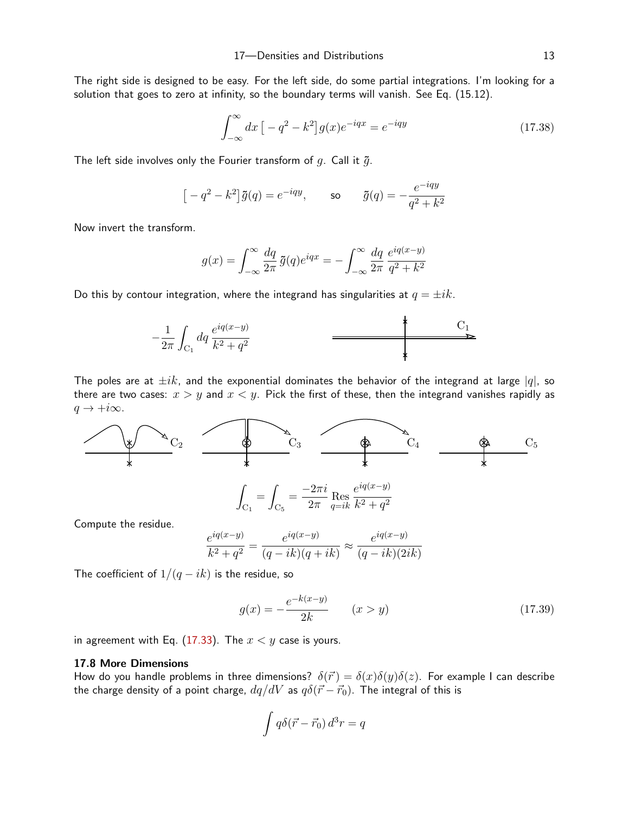The right side is designed to be easy. For the left side, do some partial integrations. I'm looking for a solution that goes to zero at infinity, so the boundary terms will vanish. See Eq. (15.12).

$$
\int_{-\infty}^{\infty} dx \left[ -q^2 - k^2 \right] g(x) e^{-iqx} = e^{-iqy} \tag{17.38}
$$

The left side involves only the Fourier transform of g. Call it  $\tilde{g}$ .

$$
\left[-q^2 - k^2\right]\tilde{g}(q) = e^{-iqy}, \qquad \text{so} \qquad \tilde{g}(q) = -\frac{e^{-iqy}}{q^2 + k^2}
$$

Now invert the transform.

$$
g(x) = \int_{-\infty}^{\infty} \frac{dq}{2\pi} \, \tilde{g}(q) e^{iqx} = -\int_{-\infty}^{\infty} \frac{dq}{2\pi} \, \frac{e^{iq(x-y)}}{q^2 + k^2}
$$

Do this by contour integration, where the integrand has singularities at  $q = \pm ik$ .

$$
-\frac{1}{2\pi} \int_{C_1} dq \frac{e^{iq(x-y)}}{k^2 + q^2}
$$

The poles are at  $\pm ik$ , and the exponential dominates the behavior of the integrand at large |q|, so there are two cases:  $x > y$  and  $x < y$ . Pick the first of these, then the integrand vanishes rapidly as  $q \rightarrow +i\infty$ .



The coefficient of  $1/(q - ik)$  is the residue, so

<span id="page-12-0"></span>
$$
g(x) = -\frac{e^{-k(x-y)}}{2k} \qquad (x > y)
$$
\n(17.39)

in agreement with Eq. ([17.3](#page-10-2)3). The  $x < y$  case is yours.

## 17.8 More Dimensions

How do you handle problems in three dimensions?  $\delta(\vec{r}) = \delta(x)\delta(y)\delta(z)$ . For example I can describe the charge density of a point charge,  $dq/dV$  as  $q\delta(\vec{r} - \vec{r}_0)$ . The integral of this is

$$
\int q\delta(\vec{r} - \vec{r}_0) d^3r = q
$$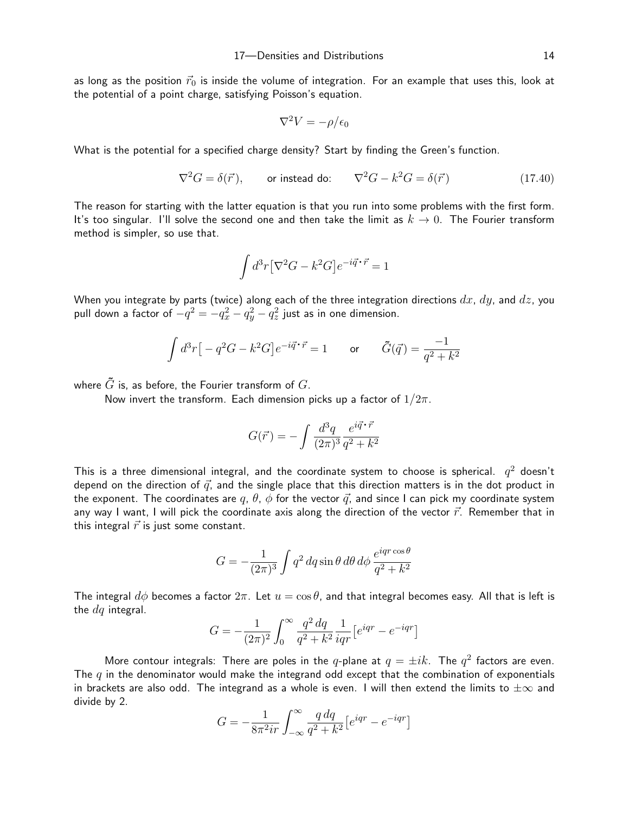as long as the position  $\vec{r}_0$  is inside the volume of integration. For an example that uses this, look at the potential of a point charge, satisfying Poisson's equation.

<span id="page-13-0"></span>
$$
\nabla^2 V = -\rho/\epsilon_0
$$

What is the potential for a specified charge density? Start by finding the Green's function.

$$
\nabla^2 G = \delta(\vec{r}), \qquad \text{or instead do:} \qquad \nabla^2 G - k^2 G = \delta(\vec{r}) \tag{17.40}
$$

The reason for starting with the latter equation is that you run into some problems with the first form. It's too singular. I'll solve the second one and then take the limit as  $k \to 0$ . The Fourier transform method is simpler, so use that.

$$
\int d^3r \left[\nabla^2 G - k^2 G\right] e^{-i\vec{q}\cdot\vec{r}} = 1
$$

When you integrate by parts (twice) along each of the three integration directions  $dx$ ,  $dy$ , and  $dz$ , you pull down a factor of  $-q^2 = -q_x^2 - q_y^2 - q_z^2$  just as in one dimension.

$$
\int d^3r \big[ -q^2G - k^2G \big] e^{-i\vec{q} \cdot \vec{r}} = 1 \qquad \text{or} \qquad \tilde{G}(\vec{q}) = \frac{-1}{q^2 + k^2}
$$

where  $\tilde{G}$  is, as before, the Fourier transform of  $G$ .

Now invert the transform. Each dimension picks up a factor of  $1/2\pi$ .

$$
G(\vec{r}) = -\int \frac{d^3q}{(2\pi)^3} \frac{e^{i\vec{q} \cdot \vec{r}}}{q^2 + k^2}
$$

This is a three dimensional integral, and the coordinate system to choose is spherical.  $\ q^2$  doesn't depend on the direction of  $\vec{q}$ , and the single place that this direction matters is in the dot product in the exponent. The coordinates are q,  $\theta$ ,  $\phi$  for the vector  $\vec{q}$ , and since I can pick my coordinate system any way I want, I will pick the coordinate axis along the direction of the vector  $\vec{r}$ . Remember that in this integral  $\vec{r}$  is just some constant.

$$
G = -\frac{1}{(2\pi)^3} \int q^2 \, dq \sin \theta \, d\theta \, d\phi \, \frac{e^{iqr\cos\theta}}{q^2 + k^2}
$$

The integral  $d\phi$  becomes a factor  $2\pi$ . Let  $u = \cos \theta$ , and that integral becomes easy. All that is left is the  $dq$  integral.

$$
G = -\frac{1}{(2\pi)^2} \int_0^\infty \frac{q^2 \, dq}{q^2 + k^2} \frac{1}{iqr} \left[ e^{iqr} - e^{-iqr} \right]
$$

More contour integrals: There are poles in the q-plane at  $q = \pm ik$ . The  $q^2$  factors are even. The  $q$  in the denominator would make the integrand odd except that the combination of exponentials in brackets are also odd. The integrand as a whole is even. I will then extend the limits to  $\pm\infty$  and divide by 2.

$$
G = -\frac{1}{8\pi^2 i r} \int_{-\infty}^{\infty} \frac{q \, dq}{q^2 + k^2} \left[ e^{iqr} - e^{-iqr} \right]
$$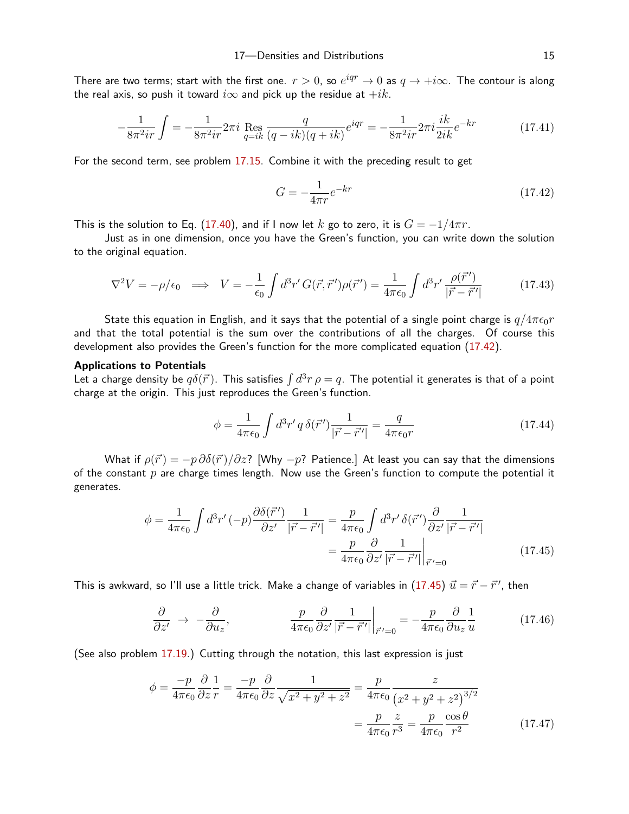There are two terms; start with the first one.  $r>0$ , so  $e^{iqr}\to 0$  as  $q\to +i\infty.$  The contour is along the real axis, so push it toward  $i\infty$  and pick up the residue at  $+ik$ .

$$
-\frac{1}{8\pi^2 i r} \int = -\frac{1}{8\pi^2 i r} 2\pi i \operatorname{Res}_{q=ik} \frac{q}{(q-ik)(q+ik)} e^{iqr} = -\frac{1}{8\pi^2 i r} 2\pi i \frac{ik}{2ik} e^{-kr} \tag{17.41}
$$

For the second term, see problem [17.1](#page-17-2)5. Combine it with the preceding result to get

<span id="page-14-4"></span><span id="page-14-0"></span>
$$
G = -\frac{1}{4\pi r}e^{-kr} \tag{17.42}
$$

This is the solution to Eq. ([17.4](#page-13-0)0), and if I now let k go to zero, it is  $G = -1/4\pi r$ .

Just as in one dimension, once you have the Green's function, you can write down the solution to the original equation.

$$
\nabla^2 V = -\rho/\epsilon_0 \implies V = -\frac{1}{\epsilon_0} \int d^3 r' \, G(\vec{r}, \vec{r}') \rho(\vec{r}') = \frac{1}{4\pi \epsilon_0} \int d^3 r' \, \frac{\rho(\vec{r}')}{|\vec{r} - \vec{r}'|} \tag{17.43}
$$

State this equation in English, and it says that the potential of a single point charge is  $q/4\pi\epsilon_0r$ and that the total potential is the sum over the contributions of all the charges. Of course this development also provides the Green's function for the more complicated equation ([17.4](#page-14-0)2).

#### Applications to Potentials

Let a charge density be  $q\delta(\vec{r})$ . This satisfies  $\int d^3r\,\rho=q.$  The potential it generates is that of a point charge at the origin. This just reproduces the Green's function.

<span id="page-14-2"></span><span id="page-14-1"></span>
$$
\phi = \frac{1}{4\pi\epsilon_0} \int d^3r' \, q \,\delta(\vec{r}') \frac{1}{|\vec{r} - \vec{r}'|} = \frac{q}{4\pi\epsilon_0 r} \tag{17.44}
$$

What if  $\rho(\vec{r}) = -p \partial \delta(\vec{r})/\partial z$ ? [Why  $-p$ ? Patience.] At least you can say that the dimensions of the constant  $p$  are charge times length. Now use the Green's function to compute the potential it generates.

$$
\phi = \frac{1}{4\pi\epsilon_0} \int d^3r' \, (-p) \frac{\partial \delta(\vec{r}')}{\partial z'} \frac{1}{|\vec{r} - \vec{r}'|} = \frac{p}{4\pi\epsilon_0} \int d^3r' \, \delta(\vec{r}') \frac{\partial}{\partial z'} \frac{1}{|\vec{r} - \vec{r}'|} \n= \frac{p}{4\pi\epsilon_0} \frac{\partial}{\partial z'} \frac{1}{|\vec{r} - \vec{r}'|} \bigg|_{\vec{r}' = 0}
$$
\n(17.45)

This is awkward, so I'll use a little trick. Make a change of variables in ([17.4](#page-14-1)5)  $\vec{u} = \vec{r} - \vec{r}'$ , then

<span id="page-14-5"></span>
$$
\frac{\partial}{\partial z'} \to -\frac{\partial}{\partial u_z}, \qquad \frac{p}{4\pi\epsilon_0} \frac{\partial}{\partial z'} \frac{1}{|\vec{r} - \vec{r}'|} \Big|_{\vec{r}' = 0} = -\frac{p}{4\pi\epsilon_0} \frac{\partial}{\partial u_z} \frac{1}{u} \qquad (17.46)
$$

(See also problem [17.1](#page-18-0)9.) Cutting through the notation, this last expression is just

<span id="page-14-3"></span>
$$
\phi = \frac{-p}{4\pi\epsilon_0} \frac{\partial}{\partial z} \frac{1}{r} = \frac{-p}{4\pi\epsilon_0} \frac{\partial}{\partial z} \frac{1}{\sqrt{x^2 + y^2 + z^2}} = \frac{p}{4\pi\epsilon_0} \frac{z}{(x^2 + y^2 + z^2)^{3/2}}
$$

$$
= \frac{p}{4\pi\epsilon_0} \frac{z}{r^3} = \frac{p}{4\pi\epsilon_0} \frac{\cos\theta}{r^2}
$$
(17.47)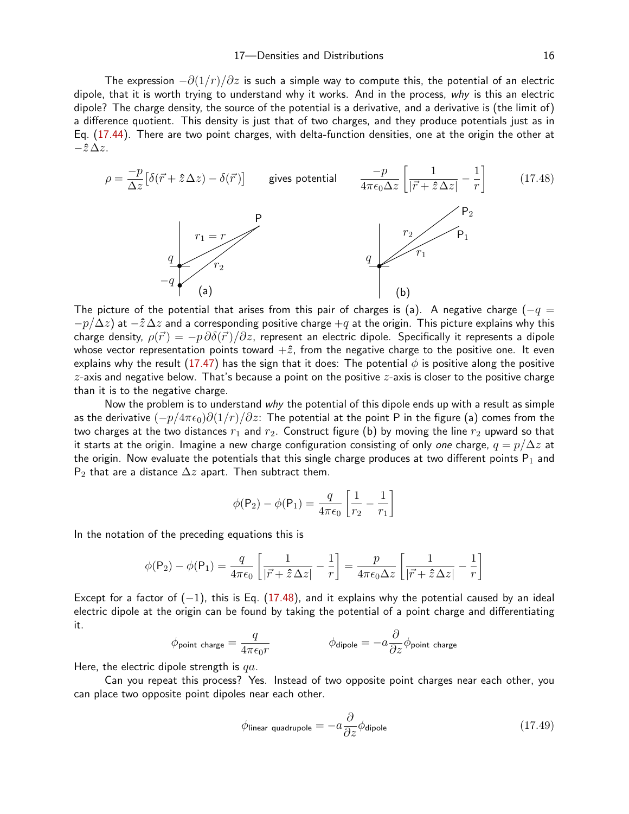The expression  $-\partial(1/r)/\partial z$  is such a simple way to compute this, the potential of an electric dipole, that it is worth trying to understand why it works. And in the process, why is this an electric dipole? The charge density, the source of the potential is a derivative, and a derivative is (the limit of) a difference quotient. This density is just that of two charges, and they produce potentials just as in Eq. [\(17.4](#page-14-2)4). There are two point charges, with delta-function densities, one at the origin the other at  $-\hat{z}\Delta z$ .

<span id="page-15-0"></span>

The picture of the potential that arises from this pair of charges is (a). A negative charge ( $-q =$  $-p/\Delta z$ ) at  $-\hat{z}\Delta z$  and a corresponding positive charge  $+q$  at the origin. This picture explains why this charge density,  $\rho(\vec{r}) = -p \partial \delta(\vec{r})/\partial z$ , represent an electric dipole. Specifically it represents a dipole whose vector representation points toward  $+ \hat{z}$ , from the negative charge to the positive one. It even explains why the result ([17.4](#page-14-3)7) has the sign that it does: The potential  $\phi$  is positive along the positive  $z$ -axis and negative below. That's because a point on the positive  $z$ -axis is closer to the positive charge than it is to the negative charge.

Now the problem is to understand why the potential of this dipole ends up with a result as simple as the derivative  $(-p/4\pi\epsilon_0)\partial(1/r)/\partial z$ : The potential at the point P in the figure (a) comes from the two charges at the two distances  $r_1$  and  $r_2$ . Construct figure (b) by moving the line  $r_2$  upward so that it starts at the origin. Imagine a new charge configuration consisting of only *one* charge,  $q = p/\Delta z$  at the origin. Now evaluate the potentials that this single charge produces at two different points  $P_1$  and P<sub>2</sub> that are a distance  $\Delta z$  apart. Then subtract them.

$$
\phi(\mathsf{P}_2) - \phi(\mathsf{P}_1) = \frac{q}{4\pi\epsilon_0} \left[ \frac{1}{r_2} - \frac{1}{r_1} \right]
$$

In the notation of the preceding equations this is

$$
\phi(\mathsf{P}_2) - \phi(\mathsf{P}_1) = \frac{q}{4\pi\epsilon_0} \left[ \frac{1}{|\vec{r} + \hat{z}\,\Delta z|} - \frac{1}{r} \right] = \frac{p}{4\pi\epsilon_0\Delta z} \left[ \frac{1}{|\vec{r} + \hat{z}\,\Delta z|} - \frac{1}{r} \right]
$$

Except for a factor of  $(-1)$ , this is Eq. [\(17.4](#page-15-0)8), and it explains why the potential caused by an ideal electric dipole at the origin can be found by taking the potential of a point charge and differentiating it.

$$
\phi_{\text{point charge}} = \frac{q}{4\pi\epsilon_0 r} \qquad \qquad \phi_{\text{dipole}} = -a\frac{\partial}{\partial z}\phi_{\text{point charge}}
$$

Here, the electric dipole strength is  $qa$ .

Can you repeat this process? Yes. Instead of two opposite point charges near each other, you can place two opposite point dipoles near each other.

<span id="page-15-1"></span>
$$
\phi_{\text{linear quadrupole}} = -a \frac{\partial}{\partial z} \phi_{\text{dipole}} \tag{17.49}
$$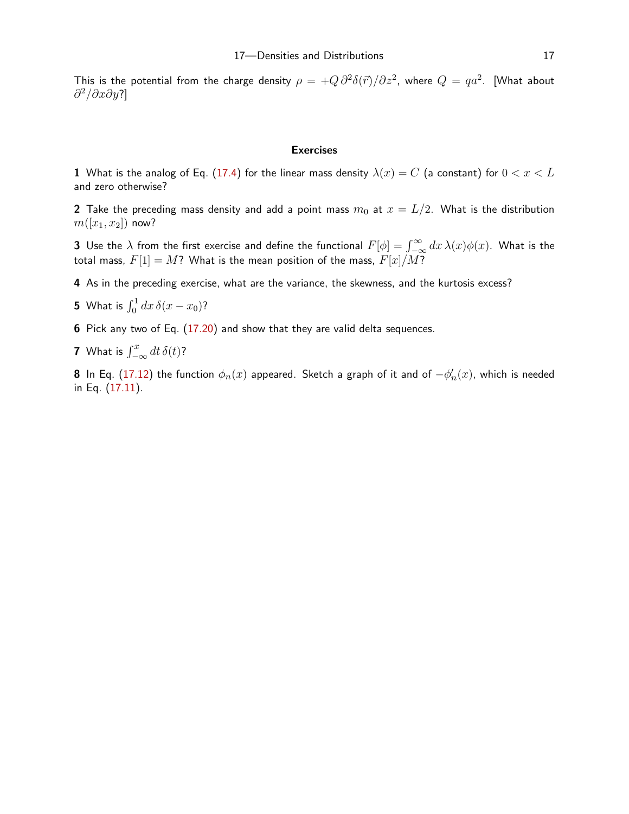This is the potential from the charge density  $\rho = + Q\, \partial^2\delta(\vec{r})/\partial z^2$ , where  $Q = q a^2$ . [What about  $\partial^2/\partial x \partial y$ ?]

# Exercises

1 What is the analog of Eq. ([17.4](#page-1-0)) for the linear mass density  $\lambda(x) = C$  (a constant) for  $0 < x < L$ and zero otherwise?

2 Take the preceding mass density and add a point mass  $m_0$  at  $x = L/2$ . What is the distribution  $m([x_1, x_2])$  now?

**3** Use the  $\lambda$  from the first exercise and define the functional  $F[\phi]=\int_{-\infty}^{\infty}dx\,\lambda(x)\phi(x).$  What is the total mass,  $F[1] = M$ ? What is the mean position of the mass,  $F[x]/M$ ?

4 As in the preceding exercise, what are the variance, the skewness, and the kurtosis excess?

**5** What is  $\int_0^1 dx \, \delta(x - x_0)$ ?

6 Pick any two of Eq. ([17.2](#page-7-2)0) and show that they are valid delta sequences.

**7** What is  $\int_{-\infty}^{x} dt \, \delta(t)$ ?

 ${\bf 8}$  In Eq. ([17.1](#page-4-0)2) the function  $\phi_n(x)$  appeared. Sketch a graph of it and of  $-\phi_n'(x)$ , which is needed in Eq. [\(17.1](#page-3-1)1).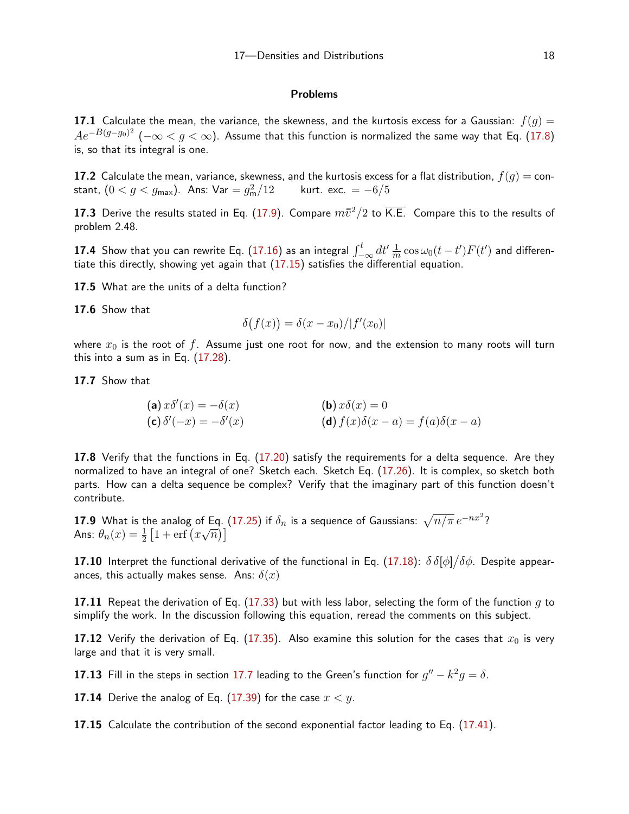## Problems

<span id="page-17-4"></span>17.1 Calculate the mean, the variance, the skewness, and the kurtosis excess for a Gaussian:  $f(g)$  =  $Ae^{-B(g-g_0)^2}$  (− $\infty < g < \infty$ ). Assume that this function is normalized the same way that Eq. ([17.8](#page-2-2)) is, so that its integral is one.

17.2 Calculate the mean, variance, skewness, and the kurtosis excess for a flat distribution,  $f(g) = \text{con-}$ stant,  $(0 < g < g_{\sf max})$ . Ans: Var  $= g_{\sf m}^2/12$  kurt. exc.  $= -6/5$ 

**17.3** Derive the results stated in Eq. ([17.9](#page-3-2)). Compare  $m\bar{v}^2/2$  to  $\overline{\sf K.E.}\;$  Compare this to the results of problem 2.48.

**17.4** Show that you can rewrite Eq. ([17.1](#page-5-0)6) as an integral  $\int_{-\infty}^t dt'\frac{1}{m}\cos\omega_0(t-t')F(t')$  and differentiate this directly, showing yet again that  $(17.15)$  $(17.15)$  satisfies the differential equation.

17.5 What are the units of a delta function?

17.6 Show that

$$
\delta(f(x)) = \delta(x - x_0) / |f'(x_0)|
$$

where  $x_0$  is the root of f. Assume just one root for now, and the extension to many roots will turn this into a sum as in Eq. ([17.2](#page-9-3)8).

17.7 Show that

(a) 
$$
x\delta'(x) = -\delta(x)
$$
  
\n(b)  $x\delta(x) = 0$   
\n(c)  $\delta'(-x) = -\delta'(x)$   
\n(d)  $f(x)\delta(x - a) = f(a)\delta(x - a)$ 

17.8 Verify that the functions in Eq. [\(17.2](#page-7-2)0) satisfy the requirements for a delta sequence. Are they normalized to have an integral of one? Sketch each. Sketch Eq. ([17.2](#page-8-1)6). It is complex, so sketch both parts. How can a delta sequence be complex? Verify that the imaginary part of this function doesn't contribute.

**17.9** What is the analog of Eq. ([17.2](#page-8-2)5) if  $\delta_n$  is a sequence of Gaussians:  $\sqrt{n/\pi} \, e^{-nx^2}$ ? Ans:  $\theta_n(x) = \frac{1}{2} \left[ 1 + \text{erf} \left( x \sqrt{n} \right) \right]$ 

<span id="page-17-0"></span> $\bf 17.10$  Interpret the functional derivative of the functional in Eq.  $(17.18)$  $(17.18)$ :  $\delta\,\delta[\phi]/\delta\phi$ . Despite appearances, this actually makes sense. Ans:  $\delta(x)$ 

<span id="page-17-1"></span>17.11 Repeat the derivation of Eq. ([17.3](#page-10-2)3) but with less labor, selecting the form of the function q to simplify the work. In the discussion following this equation, reread the comments on this subject.

17.12 Verify the derivation of Eq. ([17.3](#page-11-0)5). Also examine this solution for the cases that  $x_0$  is very large and that it is very small.

17.13 Fill in the steps in section [17.7](#page-11-1) leading to the Green's function for  $g'' - k^2 g = \delta$ .

<span id="page-17-2"></span>**17.14** Derive the analog of Eq. [\(17.3](#page-12-0)9) for the case  $x < y$ .

<span id="page-17-3"></span>17.15 Calculate the contribution of the second exponential factor leading to Eq. ([17.4](#page-14-4)1).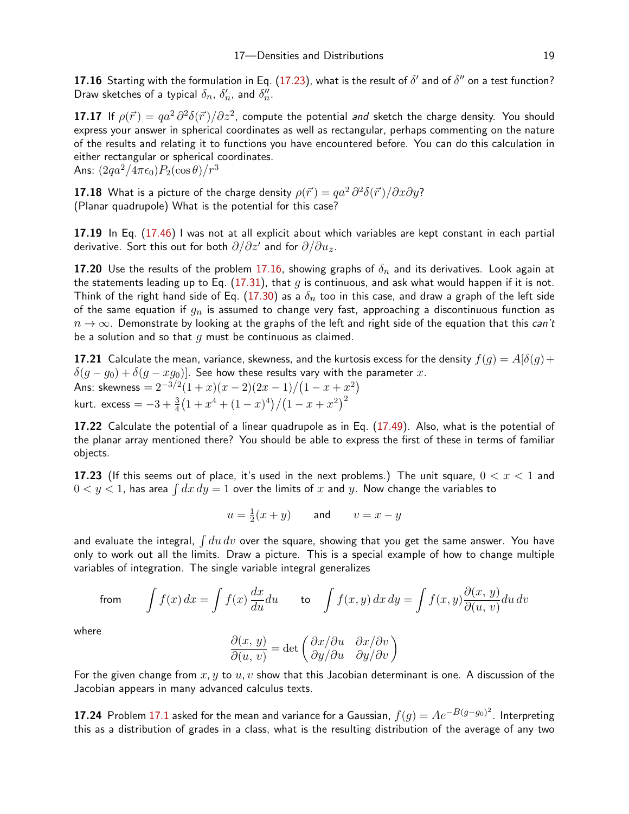17.16 Starting with the formulation in Eq. [\(17.2](#page-8-3)3), what is the result of  $\delta'$  and of  $\delta''$  on a test function? Draw sketches of a typical  $\delta_n$ ,  $\delta_n'$ , and  $\delta_n''$ .

17.17 If  $\rho(\vec{r}\,) = q a^2\,\partial^2\delta(\vec{r}\,)/\partial z^2$ , compute the potential *and* sketch the charge density. You should express your answer in spherical coordinates as well as rectangular, perhaps commenting on the nature of the results and relating it to functions you have encountered before. You can do this calculation in either rectangular or spherical coordinates. Ans:  $\left(2qa^2/4\pi\epsilon_0\right)P_2(\cos\theta)/r^3$ 

**17.18** What is a picture of the charge density  $\rho(\vec{r}) = q a^2 \frac{\partial^2 \delta(\vec{r})}{\partial x \partial y}$ ? (Planar quadrupole) What is the potential for this case?

<span id="page-18-0"></span>17.19 In Eq. ([17.4](#page-14-5)6) I was not at all explicit about which variables are kept constant in each partial derivative. Sort this out for both  $\partial/\partial z'$  and for  $\partial/\partial u_z.$ 

17.20 Use the results of the problem [17.1](#page-17-3)6, showing graphs of  $\delta_n$  and its derivatives. Look again at the statements leading up to Eq.  $(17.31)$  $(17.31)$  $(17.31)$ , that g is continuous, and ask what would happen if it is not. Think of the right hand side of Eq. [\(17.3](#page-9-1)0) as a  $\delta_n$  too in this case, and draw a graph of the left side of the same equation if  $g_n$  is assumed to change very fast, approaching a discontinuous function as  $n \to \infty$ . Demonstrate by looking at the graphs of the left and right side of the equation that this can't be a solution and so that  $q$  must be continuous as claimed.

**17.21** Calculate the mean, variance, skewness, and the kurtosis excess for the density  $f(q) = A[\delta(q) +$  $\delta(g - g_0) + \delta(g - x g_0)$ . See how these results vary with the parameter x.

Ans: skewness =  $2^{-3/2}(1+x)(x-2)(2x-1)/(1-x+x^2)$ kurt. excess  $= -3 + \frac{3}{4}\left(1 + x^4 + (1 - x)^4\right) / \left(1 - x + x^2\right)^2$ 

17.22 Calculate the potential of a linear quadrupole as in Eq. ([17.4](#page-15-1)9). Also, what is the potential of the planar array mentioned there? You should be able to express the first of these in terms of familiar objects.

**17.23** (If this seems out of place, it's used in the next problems.) The unit square,  $0 < x < 1$  and  $0 < y < 1$ , has area  $\int dx\,dy = 1$  over the limits of  $x$  and  $y$ . Now change the variables to

$$
u = \frac{1}{2}(x+y) \qquad \text{and} \qquad v = x-y
$$

and evaluate the integral,  $\int du\,dv$  over the square, showing that you get the same answer. You have only to work out all the limits. Draw a picture. This is a special example of how to change multiple variables of integration. The single variable integral generalizes

from 
$$
\int f(x) dx = \int f(x) \frac{dx}{du} du
$$
 to  $\int f(x, y) dx dy = \int f(x, y) \frac{\partial(x, y)}{\partial(u, v)} du dv$ 

where

$$
\frac{\partial(x, y)}{\partial(u, v)} = \det \begin{pmatrix} \frac{\partial x}{\partial u} & \frac{\partial x}{\partial v} \\ \frac{\partial y}{\partial u} & \frac{\partial y}{\partial v} \end{pmatrix}
$$

For the given change from x, y to  $u, v$  show that this Jacobian determinant is one. A discussion of the Jacobian appears in many advanced calculus texts.

<code>17.24</code> Problem [17.1](#page-17-4) asked for the mean and variance for a Gaussian,  $f(g) = A e^{-B(g-g_0)^2}$ . Interpreting this as a distribution of grades in a class, what is the resulting distribution of the average of any two